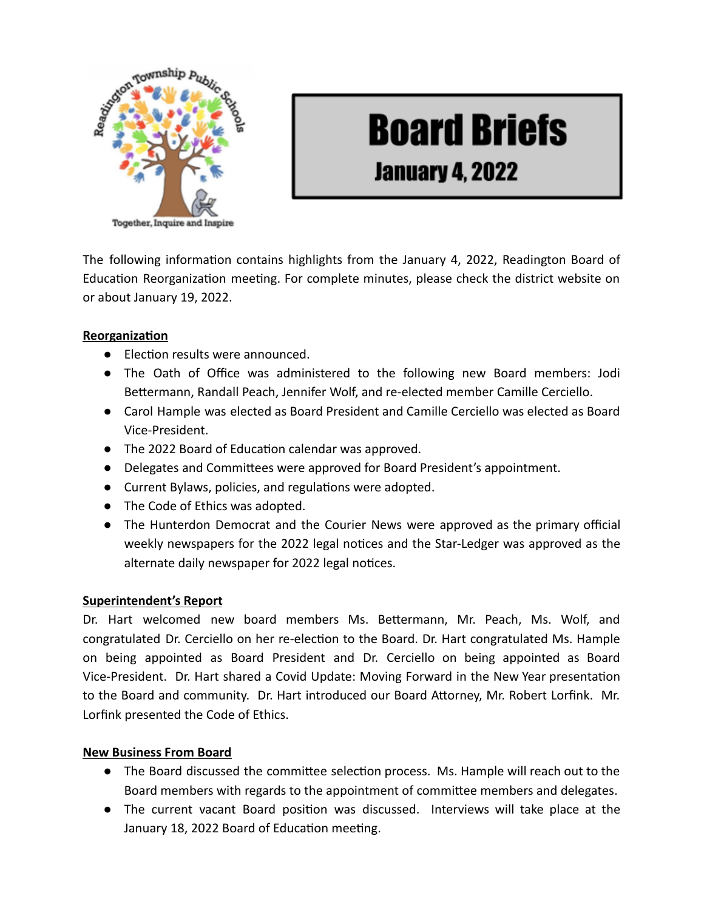

## **Board Briefs January 4, 2022**

The following information contains highlights from the January 4, 2022, Readington Board of Education Reorganization meeting. For complete minutes, please check the district website on or about January 19, 2022.

## **Reorganization**

- Election results were announced.
- The Oath of Office was administered to the following new Board members: Jodi Bettermann, Randall Peach, Jennifer Wolf, and re-elected member Camille Cerciello.
- Carol Hample was elected as Board President and Camille Cerciello was elected as Board Vice-President.
- The 2022 Board of Education calendar was approved.
- Delegates and Committees were approved for Board President's appointment.
- Current Bylaws, policies, and regulations were adopted.
- The Code of Ethics was adopted.
- The Hunterdon Democrat and the Courier News were approved as the primary official weekly newspapers for the 2022 legal notices and the Star-Ledger was approved as the alternate daily newspaper for 2022 legal notices.

## **Superintendent's Report**

Dr. Hart welcomed new board members Ms. Bettermann, Mr. Peach, Ms. Wolf, and congratulated Dr. Cerciello on her re-election to the Board. Dr. Hart congratulated Ms. Hample on being appointed as Board President and Dr. Cerciello on being appointed as Board Vice-President. Dr. Hart shared a Covid Update: Moving Forward in the New Year presentation to the Board and community. Dr. Hart introduced our Board Attorney, Mr. Robert Lorfink. Mr. Lorfink presented the Code of Ethics.

## **New Business From Board**

- The Board discussed the committee selection process. Ms. Hample will reach out to the Board members with regards to the appointment of committee members and delegates.
- The current vacant Board position was discussed. Interviews will take place at the January 18, 2022 Board of Education meeting.